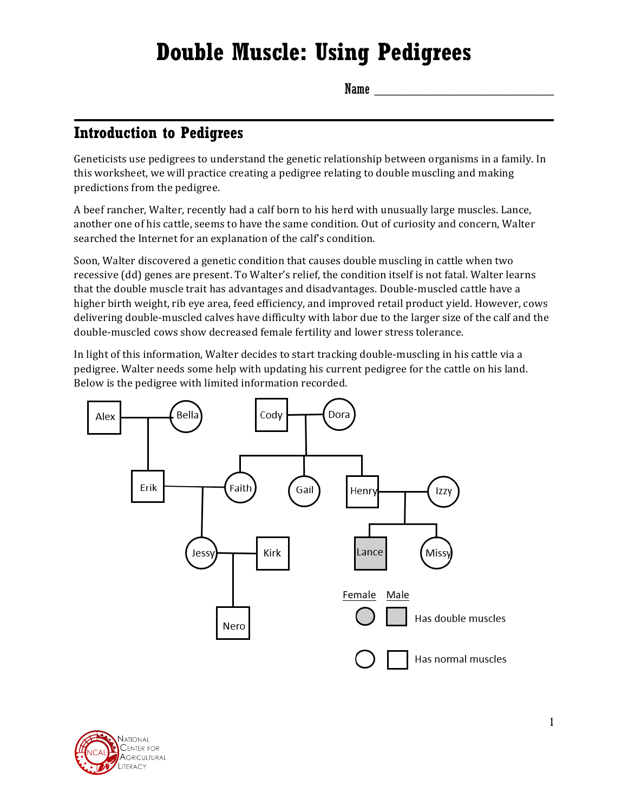# **Double Muscle: Using Pedigrees**

Name

### **Introduction to Pedigrees**

Geneticists use pedigrees to understand the genetic relationship between organisms in a family. In this worksheet, we will practice creating a pedigree relating to double muscling and making predictions from the pedigree.

A beef rancher, Walter, recently had a calf born to his herd with unusually large muscles. Lance, another one of his cattle, seems to have the same condition. Out of curiosity and concern, Walter searched the Internet for an explanation of the calf's condition.

Soon, Walter discovered a genetic condition that causes double muscling in cattle when two recessive (dd) genes are present. To Walter's relief, the condition itself is not fatal. Walter learns that the double muscle trait has advantages and disadvantages. Double-muscled cattle have a higher birth weight, rib eye area, feed efficiency, and improved retail product yield. However, cows delivering double-muscled calves have difficulty with labor due to the larger size of the calf and the double-muscled cows show decreased female fertility and lower stress tolerance.

In light of this information, Walter decides to start tracking double-muscling in his cattle via a pedigree. Walter needs some help with updating his current pedigree for the cattle on his land. Below is the pedigree with limited information recorded.



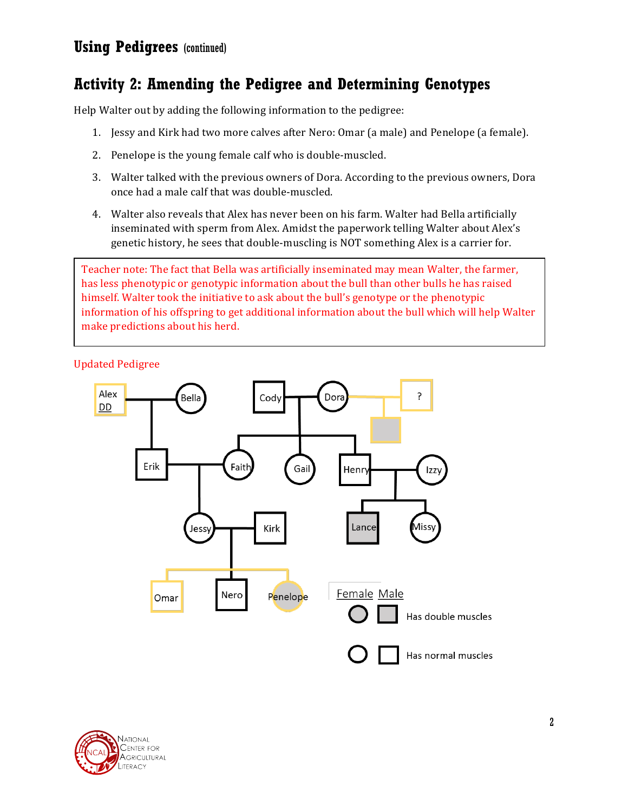### **Activity 2: Amending the Pedigree and Determining Genotypes**

Help Walter out by adding the following information to the pedigree:

- 1. Jessy and Kirk had two more calves after Nero: Omar (a male) and Penelope (a female).
- 2. Penelope is the young female calf who is double-muscled.
- 3. Walter talked with the previous owners of Dora. According to the previous owners, Dora once had a male calf that was double-muscled.
- 4. Walter also reveals that Alex has never been on his farm. Walter had Bella artificially inseminated with sperm from Alex. Amidst the paperwork telling Walter about Alex's genetic history, he sees that double-muscling is NOT something Alex is a carrier for.

Teacher note: The fact that Bella was artificially inseminated may mean Walter, the farmer, has less phenotypic or genotypic information about the bull than other bulls he has raised himself. Walter took the initiative to ask about the bull's genotype or the phenotypic information of his offspring to get additional information about the bull which will help Walter make predictions about his herd.

#### Updated Pedigree



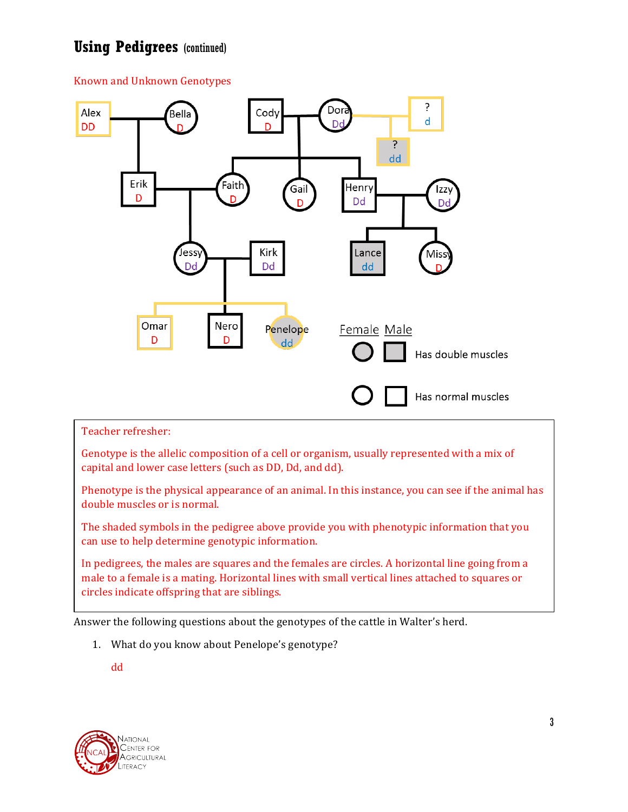#### Known and Unknown Genotypes



#### Teacher refresher:

Genotype is the allelic composition of a cell or organism, usually represented with a mix of capital and lower case letters (such as DD, Dd, and dd).

Phenotype is the physical appearance of an animal. In this instance, you can see if the animal has double muscles or is normal.

The shaded symbols in the pedigree above provide you with phenotypic information that you can use to help determine genotypic information.

In pedigrees, the males are squares and the females are circles. A horizontal line going from a male to a female is a mating. Horizontal lines with small vertical lines attached to squares or circles indicate offspring that are siblings.

Answer the following questions about the genotypes of the cattle in Walter's herd.

1. What do you know about Penelope's genotype?

dd

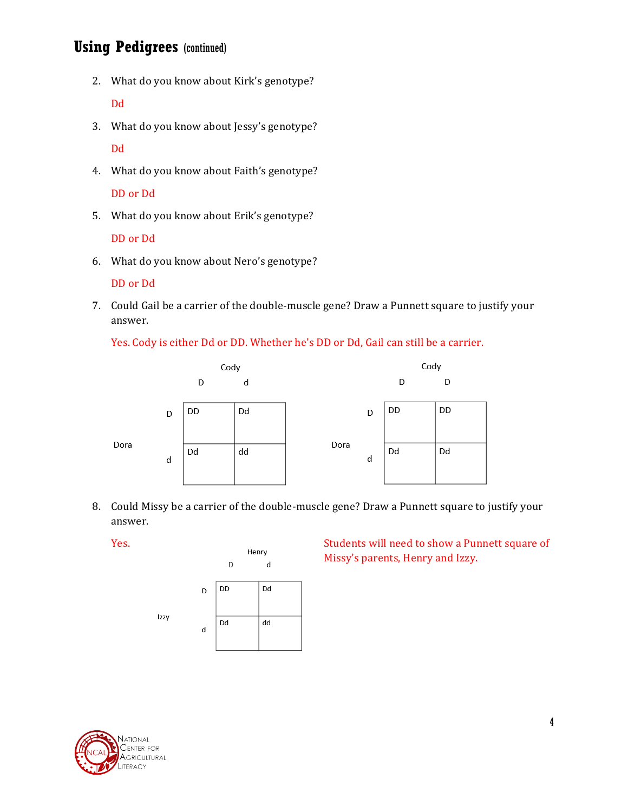2. What do you know about Kirk's genotype?

Dd

3. What do you know about Jessy's genotype?

Dd

4. What do you know about Faith's genotype?

DD or Dd

5. What do you know about Erik's genotype?

DD or Dd

6. What do you know about Nero's genotype?

DD or Dd

7. Could Gail be a carrier of the double-muscle gene? Draw a Punnett square to justify your answer.

#### Yes. Cody is either Dd or DD. Whether he's DD or Dd, Gail can still be a carrier.



8. Could Missy be a carrier of the double-muscle gene? Draw a Punnett square to justify your answer.

Izzy



Yes. Students will need to show a Punnett square of Henry Minimum Minimum Minimum Minimum Minimum Minimum Minimum Minimum Minimum Minimum Minimum Minimum Minimum Minimum Minimum Minimum Minimum Minimum Minimum Minimum Mini Missy's parents, Henry and Izzy.